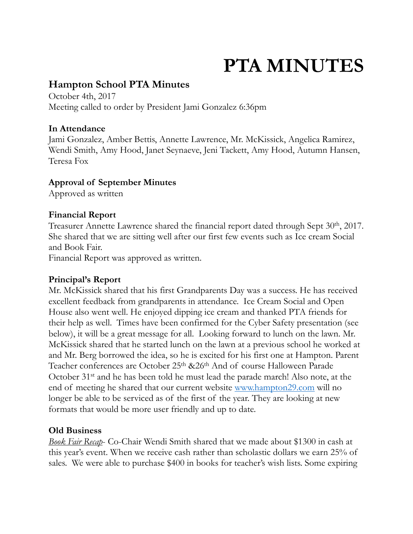# **PTA MINUTES**

## **Hampton School PTA Minutes**

October 4th, 2017 Meeting called to order by President Jami Gonzalez 6:36pm

#### **In Attendance**

Jami Gonzalez, Amber Bettis, Annette Lawrence, Mr. McKissick, Angelica Ramirez, Wendi Smith, Amy Hood, Janet Seynaeve, Jeni Tackett, Amy Hood, Autumn Hansen, Teresa Fox

### **Approval of September Minutes**

Approved as written

### **Financial Report**

Treasurer Annette Lawrence shared the financial report dated through Sept 30<sup>th</sup>, 2017. She shared that we are sitting well after our first few events such as Ice cream Social and Book Fair.

Financial Report was approved as written.

#### **Principal's Report**

Mr. McKissick shared that his first Grandparents Day was a success. He has received excellent feedback from grandparents in attendance. Ice Cream Social and Open House also went well. He enjoyed dipping ice cream and thanked PTA friends for their help as well. Times have been confirmed for the Cyber Safety presentation (see below), it will be a great message for all. Looking forward to lunch on the lawn. Mr. McKissick shared that he started lunch on the lawn at a previous school he worked at and Mr. Berg borrowed the idea, so he is excited for his first one at Hampton. Parent Teacher conferences are October 25<sup>th</sup> &26<sup>th</sup> And of course Halloween Parade October 31st and he has been told he must lead the parade march! Also note, at the end of meeting he shared that our current website [www.hampton29.com](http://www.hampton29.com) will no longer be able to be serviced as of the first of the year. They are looking at new formats that would be more user friendly and up to date.

#### **Old Business**

*Book Fair Recap*- Co-Chair Wendi Smith shared that we made about \$1300 in cash at this year's event. When we receive cash rather than scholastic dollars we earn 25% of sales. We were able to purchase \$400 in books for teacher's wish lists. Some expiring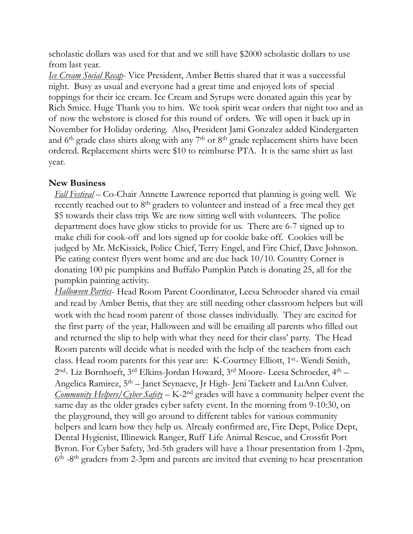scholastic dollars was used for that and we still have \$2000 scholastic dollars to use from last year.

*Ice Cream Social Recap*- Vice President, Amber Bettis shared that it was a successful night. Busy as usual and everyone had a great time and enjoyed lots of special toppings for their ice cream. Ice Cream and Syrups were donated again this year by Rich Smice. Huge Thank you to him. We took spirit wear orders that night too and as of now the webstore is closed for this round of orders. We will open it back up in November for Holiday ordering. Also, President Jami Gonzalez added Kindergarten and 6<sup>th</sup> grade class shirts along with any 7<sup>th</sup> or 8<sup>th</sup> grade replacement shirts have been ordered. Replacement shirts were \$10 to reimburse PTA. It is the same shirt as last year.

#### **New Business**

*Fall Festival* – Co-Chair Annette Lawrence reported that planning is going well. We recently reached out to 8<sup>th</sup> graders to volunteer and instead of a free meal they get \$5 towards their class trip. We are now sitting well with volunteers. The police department does have glow sticks to provide for us. There are 6-7 signed up to make chili for cook-off and lots signed up for cookie bake off. Cookies will be judged by Mr. McKissick, Police Chief, Terry Engel, and Fire Chief, Dave Johnson. Pie eating contest flyers went home and are due back 10/10. Country Corner is donating 100 pie pumpkins and Buffalo Pumpkin Patch is donating 25, all for the pumpkin painting activity.

*Halloween Parties*- Head Room Parent Coordinator, Leesa Schroeder shared via email and read by Amber Bettis, that they are still needing other classroom helpers but will work with the head room parent of those classes individually. They are excited for the first party of the year, Halloween and will be emailing all parents who filled out and returned the slip to help with what they need for their class' party. The Head Room parents will decide what is needed with the help of the teachers from each class. Head room parents for this year are: K-Courtney Elliott, 1st- Wendi Smith, 2nd- Liz Bornhoeft, 3rd Elkins-Jordan Howard, 3rd Moore- Leesa Schroeder, 4th – Angelica Ramirez, 5th – Janet Seynaeve, Jr High- Jeni Tackett and LuAnn Culver. *Community Helpers/Cyber Safety* – K-2<sup>nd</sup> grades will have a community helper event the same day as the older grades cyber safety event. In the morning from 9-10:30, on the playground, they will go around to different tables for various community helpers and learn how they help us. Already confirmed are, Fire Dept, Police Dept, Dental Hygienist, Illinewick Ranger, Ruff Life Animal Rescue, and Crossfit Port Byron. For Cyber Safety, 3rd-5th graders will have a 1hour presentation from 1-2pm,  $6<sup>th</sup>$  -8<sup>th</sup> graders from 2-3pm and parents are invited that evening to hear presentation